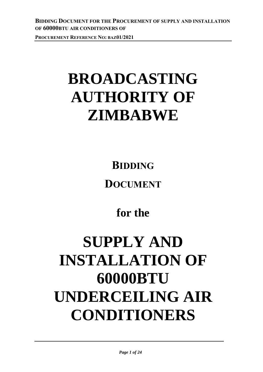**PROCUREMENT REFERENCE NO: BAZ01/2021**

# **BROADCASTING AUTHORITY OF ZIMBABWE**

**BIDDING**

**DOCUMENT**

# **for the**

# **SUPPLY AND INSTALLATION OF 60000BTU UNDERCEILING AIR CONDITIONERS**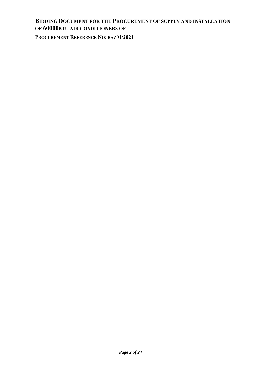**PROCUREMENT REFERENCE NO: BAZ01/2021**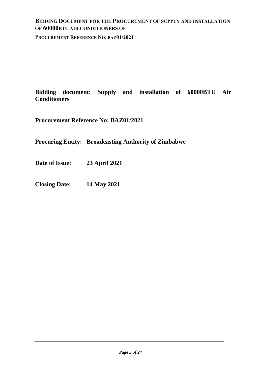**PROCUREMENT REFERENCE NO: BAZ01/2021**

**Bidding document: Supply and installation of 60000BTU Air Conditioners**

**Procurement Reference No: BAZ01/2021**

**Procuring Entity: Broadcasting Authority of Zimbabwe**

**Date of Issue: 23 April 2021**

**Closing Date: 14 May 2021**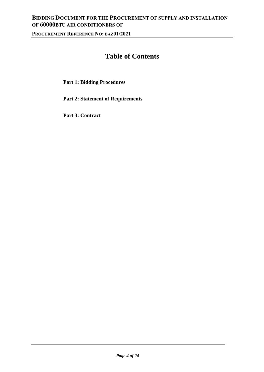**PROCUREMENT REFERENCE NO: BAZ01/2021**

## **Table of Contents**

**Part 1: Bidding Procedures**

**Part 2: Statement of Requirements**

**Part 3: Contract**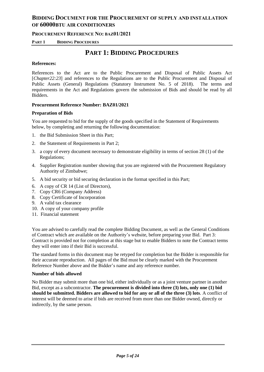## **PROCUREMENT REFERENCE NO: BAZ01/2021**

## **PART 1 BIDDING PROCEDURES**

# **PART 1: BIDDING PROCEDURES**

#### **References:**

References to the Act are to the Public Procurement and Disposal of Public Assets Act [*Chapter22:23*] and references to the Regulations are to the Public Procurement and Disposal of Public Assets (General) Regulations (Statutory Instrument No. 5 of 2018). The terms and requirements in the Act and Regulations govern the submission of Bids and should be read by all Bidders.

## **Procurement Reference Number: BAZ01/2021**

#### **Preparation of Bids**

You are requested to bid for the supply of the goods specified in the Statement of Requirements below, by completing and returning the following documentation:

- 1. the Bid Submission Sheet in this Part;
- 2. the Statement of Requirements in Part 2;
- 3. a copy of every document necessary to demonstrate eligibility in terms of section 28 (1) of the Regulations;
- 4. Supplier Registration number showing that you are registered with the Procurement Regulatory Authority of Zimbabwe;
- 5. A bid security or bid securing declaration in the format specified in this Part;
- 6. A copy of CR 14 (List of Directors),
- 7. Copy CR6 (Company Address)
- 8. Copy Certificate of Incorporation
- 9. A valid tax clearance
- 10. A copy of your company profile
- 11. Financial statement

You are advised to carefully read the complete Bidding Document, as well as the General Conditions of Contract which are available on the Authority's website, before preparing your Bid. Part 3: Contract is provided not for completion at this stage but to enable Bidders to note the Contract terms they will enter into if their Bid is successful.

The standard forms in this document may be retyped for completion but the Bidder is responsible for their accurate reproduction. All pages of the Bid must be clearly marked with the Procurement Reference Number above and the Bidder's name and any reference number.

#### **Number of bids allowed**

No Bidder may submit more than one bid, either individually or as a joint venture partner in another Bid, except as a subcontractor. **The procurement is divided into three (3) lots, only one (1) bid should be submitted. Bidders are allowed to bid for any or all of the three (3) lots**. A conflict of interest will be deemed to arise if bids are received from more than one Bidder owned, directly or indirectly, by the same person.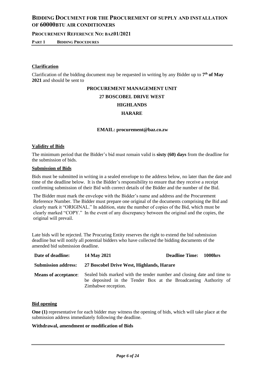## **PROCUREMENT REFERENCE NO: BAZ01/2021**

**PART 1 BIDDING PROCEDURES**

## **Clarification**

Clarification of the bidding document may be requested in writing by any Bidder up to 7<sup>th</sup> of May **2021** and should be sent to

## **PROCUREMENT MANAGEMENT UNIT**

**27 BOSCOBEL DRIVE WEST**

#### **HIGHLANDS**

#### **HARARE**

#### **EMAIL: procurement@baz.co.zw**

#### **Validity of Bids**

The minimum period that the Bidder's bid must remain valid is **sixty (60) days** from the deadline for the submission of bids.

## **Submission of Bids**

Bids must be submitted in writing in a sealed envelope to the address below, no later than the date and time of the deadline below. It is the Bidder's responsibility to ensure that they receive a receipt confirming submission of their Bid with correct details of the Bidder and the number of the Bid.

The Bidder must mark the envelope with the Bidder's name and address and the Procurement Reference Number. The Bidder must prepare one original of the documents comprising the Bid and clearly mark it "ORIGINAL." In addition, state the number of copies of the Bid, which must be clearly marked "COPY." In the event of any discrepancy between the original and the copies, the original will prevail.

Late bids will be rejected. The Procuring Entity reserves the right to extend the bid submission deadline but will notify all potential bidders who have collected the bidding documents of the amended bid submission deadline.

| Date of deadline:           | 14 May 2021                                                                                                                                                      | <b>Deadline Time:</b> 1000hrs |
|-----------------------------|------------------------------------------------------------------------------------------------------------------------------------------------------------------|-------------------------------|
| <b>Submission address:</b>  | 27 Boscobel Drive West, Highlands, Harare                                                                                                                        |                               |
| <b>Means of acceptance:</b> | Sealed bids marked with the tender number and closing date and time to<br>be deposited in the Tender Box at the Broadcasting Authority of<br>Zimbabwe reception. |                               |

#### **Bid opening**

**One** (1) representative for each bidder may witness the opening of bids, which will take place at the submission address immediately following the deadline.

#### **Withdrawal, amendment or modification of Bids**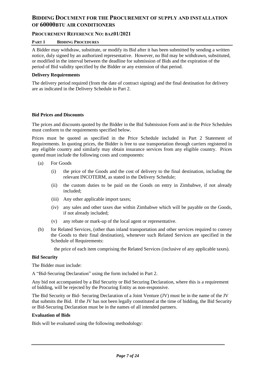## **PROCUREMENT REFERENCE NO: BAZ01/2021**

#### **PART 1 BIDDING PROCEDURES**

A Bidder may withdraw, substitute, or modify its Bid after it has been submitted by sending a written notice, duly signed by an authorized representative. However, no Bid may be withdrawn, substituted, or modified in the interval between the deadline for submission of Bids and the expiration of the period of Bid validity specified by the Bidder or any extension of that period.

#### **Delivery Requirements**

The delivery period required (from the date of contract signing) and the final destination for delivery are as indicated in the Delivery Schedule in Part 2.

#### **Bid Prices and Discounts**

The prices and discounts quoted by the Bidder in the Bid Submission Form and in the Price Schedules must conform to the requirements specified below.

Prices must be quoted as specified in the Price Schedule included in Part 2 Statement of Requirements. In quoting prices, the Bidder is free to use transportation through carriers registered in any eligible country and similarly may obtain insurance services from any eligible country. Prices quoted must include the following costs and components:

- (a) For Goods
	- (i) the price of the Goods and the cost of delivery to the final destination, including the relevant INCOTERM, as stated in the Delivery Schedule;
	- (ii) the custom duties to be paid on the Goods on entry in Zimbabwe, if not already included;
	- (iii) Any other applicable import taxes;
	- (iv) any sales and other taxes due within Zimbabwe which will be payable on the Goods, if not already included;
	- (v) any rebate or mark-up of the local agent or representative.
- (b) for Related Services, (other than inland transportation and other services required to convey the Goods to their final destination), whenever such Related Services are specified in the Schedule of Requirements:

the price of each item comprising the Related Services (inclusive of any applicable taxes).

#### **Bid Security**

The Bidder must include:

A "Bid-Securing Declaration" using the form included in Part 2.

Any bid not accompanied by a Bid Security or Bid Securing Declaration, where this is a requirement of bidding, will be rejected by the Procuring Entity as non-responsive.

The Bid Security or Bid- Securing Declaration of a Joint Venture (JV) must be in the name of the JV that submits the Bid. If the JV has not been legally constituted at the time of bidding, the Bid Security or Bid-Securing Declaration must be in the names of all intended partners.

#### **Evaluation of Bids**

Bids will be evaluated using the following methodology: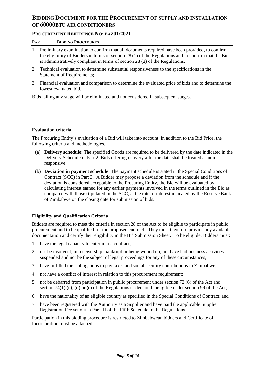## **PROCUREMENT REFERENCE NO: BAZ01/2021**

## **PART 1 BIDDING PROCEDURES**

- 1. Preliminary examination to confirm that all documents required have been provided, to confirm the eligibility of Bidders in terms of section 28 (1) of the Regulations and to confirm that the Bid is administratively compliant in terms of section 28 (2) of the Regulations.
- 2. Technical evaluation to determine substantial responsiveness to the specifications in the Statement of Requirements;
- 3. Financial evaluation and comparison to determine the evaluated price of bids and to determine the lowest evaluated bid.

Bids failing any stage will be eliminated and not considered in subsequent stages.

## **Evaluation criteria**

The Procuring Entity's evaluation of a Bid will take into account, in addition to the Bid Price, the following criteria and methodologies.

- (a) **Delivery schedule**: The specified Goods are required to be delivered by the date indicated in the Delivery Schedule in Part 2. Bids offering delivery after the date shall be treated as nonresponsive.
- (b) **Deviation in payment schedule**: The payment schedule is stated in the Special Conditions of Contract (SCC) in Part 3. A Bidder may propose a deviation from the schedule and if the deviation is considered acceptable to the Procuring Entity, the Bid will be evaluated by calculating interest earned for any earlier payments involved in the terms outlined in the Bid as compared with those stipulated in the SCC, at the rate of interest indicated by the Reserve Bank of Zimbabwe on the closing date for submission of bids.

## **Eligibility and Qualification Criteria**

Bidders are required to meet the criteria in section 28 of the Act to be eligible to participate in public procurement and to be qualified for the proposed contract. They must therefore provide any available documentation and certify their eligibility in the Bid Submission Sheet. To be eligible, Bidders must:

- 1. have the legal capacity to enter into a contract;
- 2. not be insolvent, in receivership, bankrupt or being wound up, not have had business activities suspended and not be the subject of legal proceedings for any of these circumstances;
- 3. have fulfilled their obligations to pay taxes and social security contributions in Zimbabwe;
- 4. not have a conflict of interest in relation to this procurement requirement;
- 5. not be debarred from participation in public procurement under section 72 (6) of the Act and section 74(1) (c), (d) or (e) of the Regulations or declared ineligible under section 99 of the Act;
- 6. have the nationality of an eligible country as specified in the Special Conditions of Contract; and
- 7. have been registered with the Authority as a Supplier and have paid the applicable Supplier Registration Fee set out in Part III of the Fifth Schedule to the Regulations.

Participation in this bidding procedure is restricted to Zimbabwean bidders and Certificate of Incorporation must be attached.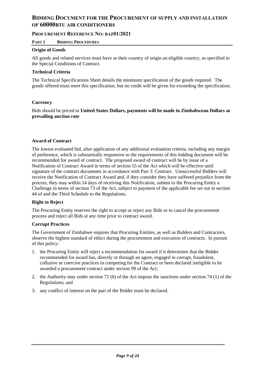## **PROCUREMENT REFERENCE NO: BAZ01/2021**

#### **PART 1 BIDDING PROCEDURES**

#### **Origin of Goods**

All goods and related services must have as their country of origin an eligible country, as specified in the Special Conditions of Contract.

## **Technical Criteria**

The Technical Specifications Sheet details the minimum specification of the goods required. The goods offered must meet this specification, but no credit will be given for exceeding the specification.

## **Currency**

Bids should be priced in **United States Dollars, payments will be made in Zimbabwean Dollars at prevailing auction rate**

#### **Award of Contract**

The lowest evaluated bid, after application of any additional evaluation criteria, including any margin of preference, which is substantially responsive to the requirements of this bidding document will be recommended for award of contract. The proposed award of contract will be by issue of a Notification of Contract Award in terms of section 55 of the Act which will be effective until signature of the contract documents in accordance with Part 3: Contract. Unsuccessful Bidders will receive the Notification of Contract Award and, if they consider they have suffered prejudice from the process, they may within 14 days of receiving this Notification, submit to the Procuring Entity a Challenge in terms of section 73 of the Act, subject to payment of the applicable fee set out in section 44 of and the Third Schedule to the Regulations.

#### **Right to Reject**

The Procuring Entity reserves the right to accept or reject any Bids or to cancel the procurement process and reject all Bids at any time prior to contract award.

#### **Corrupt Practices**

The Government of Zimbabwe requires that Procuring Entities, as well as Bidders and Contractors, observe the highest standard of ethics during the procurement and execution of contracts. In pursuit of this policy:

- 1. the Procuring Entity will reject a recommendation for award if it determines that the Bidder recommended for award has, directly or through an agent, engaged in corrupt, fraudulent, collusive or coercive practices in competing for the Contract or been declared ineligible to be awarded a procurement contract under section 99 of the Act;
- 2. the Authority may under section 72 (6) of the Act impose the sanctions under section 74 (1) of the Regulations; and
- 3. any conflict of interest on the part of the Bidder must be declared.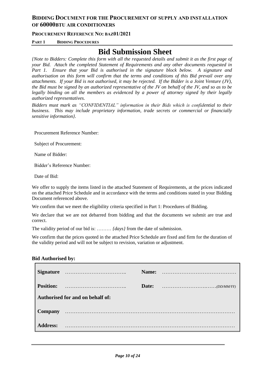## **PROCUREMENT REFERENCE NO: BAZ01/2021**

## **PART 1 BIDDING PROCEDURES**

# **Bid Submission Sheet**

*{Note to Bidders: Complete this form with all the requested details and submit it as the first page of your Bid. Attach the completed Statement of Requirements and any other documents requested in Part 1. Ensure that your Bid is authorised in the signature block below. A signature and authorisation on this form will confirm that the terms and conditions of this Bid prevail over any attachments. If your Bid is not authorised, it may be rejected. If the Bidder is a Joint Venture (JV), the Bid must be signed by an authorized representative of the JV on behalf of the JV, and so as to be legally binding on all the members as evidenced by a power of attorney signed by their legally authorized representatives.* 

*Bidders must mark as "CONFIDENTIAL" information in their Bids which is confidential to their business. This may include proprietary information, trade secrets or commercial or financially sensitive information}.* 

Procurement Reference Number:

Subject of Procurement:

Name of Bidder:

Bidder's Reference Number:

Date of Bid:

We offer to supply the items listed in the attached Statement of Requirements, at the prices indicated on the attached Price Schedule and in accordance with the terms and conditions stated in your Bidding Document referenced above.

We confirm that we meet the eligibility criteria specified in Part 1: Procedures of Bidding.

We declare that we are not debarred from bidding and that the documents we submit are true and correct.

The validity period of our bid is: ……… *{days}* from the date of submission.

We confirm that the prices quoted in the attached Price Schedule are fixed and firm for the duration of the validity period and will not be subject to revision, variation or adjustment.

#### **Bid Authorised by:**

|                  |                                  | <b>Name:</b> |  |
|------------------|----------------------------------|--------------|--|
| <b>Position:</b> |                                  | Date:        |  |
|                  | Authorised for and on behalf of: |              |  |
| <b>Company</b>   |                                  |              |  |
| <b>Address:</b>  |                                  |              |  |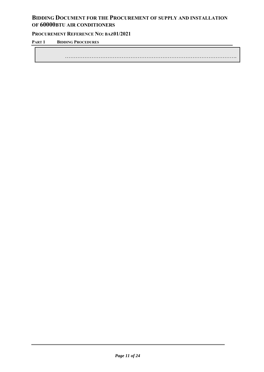## **PROCUREMENT REFERENCE NO: BAZ01/2021**

**PART 1 BIDDING PROCEDURES**

…………………………………………………………………………………….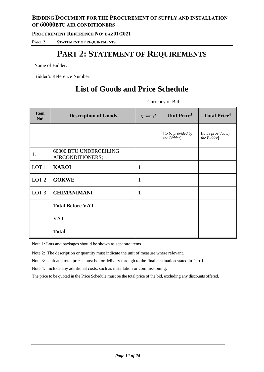**PROCUREMENT REFERENCE NO: BAZ01/2021**

**PART 2 STATEMENT OF REQUIREMENTS**

# **PART 2: STATEMENT OF REQUIREMENTS**

Name of Bidder:

Bidder's Reference Number:

# **List of Goods and Price Schedule**

Currency of Bid:…………………….……..

| <b>Item</b><br>N <sub>0</sub> <sup>1</sup> | <b>Description of Goods</b>                | Quantity <sup>2</sup> | Unit Price <sup>3</sup>           | <b>Total Price</b> <sup>4</sup>   |
|--------------------------------------------|--------------------------------------------|-----------------------|-----------------------------------|-----------------------------------|
|                                            |                                            |                       | [to be provided by<br>the Bidder] | [to be provided by<br>the Bidder] |
| 1.                                         | 60000 BTU UNDERCEILING<br>AIRCONDITIONERS; |                       |                                   |                                   |
| LOT <sub>1</sub>                           | <b>KAROI</b>                               | $\mathbf{1}$          |                                   |                                   |
| LOT <sub>2</sub>                           | <b>GOKWE</b>                               | 1                     |                                   |                                   |
| LOT <sub>3</sub>                           | <b>CHIMANIMANI</b>                         | $\mathbf{1}$          |                                   |                                   |
|                                            | <b>Total Before VAT</b>                    |                       |                                   |                                   |
|                                            | <b>VAT</b>                                 |                       |                                   |                                   |
|                                            | <b>Total</b>                               |                       |                                   |                                   |

Note 1: Lots and packages should be shown as separate items.

Note 2: The description or quantity must indicate the unit of measure where relevant.

Note 3: Unit and total prices must be for delivery through to the final destination stated in Part 1.

Note 4: Include any additional costs, such as installation or commissioning.

The price to be quoted in the Price Schedule must be the total price of the bid, excluding any discounts offered.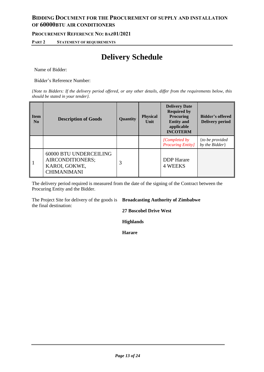## **PROCUREMENT REFERENCE NO: BAZ01/2021**

**PART 2 STATEMENT OF REQUIREMENTS**

# **Delivery Schedule**

Name of Bidder:

Bidder's Reference Number:

*{Note to Bidders: If the delivery period offered, or any other details, differ from the requirements below, this should be stated in your tender}.* 

| <b>Item</b><br>N <sub>0</sub> | <b>Description of Goods</b>                                                       | Quantity | <b>Physical</b><br>Unit | <b>Delivery Date</b><br><b>Required by</b><br><b>Procuring</b><br><b>Entity and</b><br>applicable<br><b>INCOTERM</b> | <b>Bidder's offered</b><br><b>Delivery period</b> |
|-------------------------------|-----------------------------------------------------------------------------------|----------|-------------------------|----------------------------------------------------------------------------------------------------------------------|---------------------------------------------------|
|                               |                                                                                   |          |                         | [Completed by<br><b>Procuring Entity</b>                                                                             | {to be provided<br>by the Bidder                  |
|                               | 60000 BTU UNDERCEILING<br>AIRCONDITIONERS;<br>KAROI, GOKWE,<br><b>CHIMANIMANI</b> | 3        |                         | <b>DDP</b> Harare<br><b>4 WEEKS</b>                                                                                  |                                                   |

The delivery period required is measured from the date of the signing of the Contract between the Procuring Entity and the Bidder.

The Project Site for delivery of the goods is **Broadcasting Authority of Zimbabwe** the final destination:

**27 Boscobel Drive West**

#### **Highlands**

**Harare**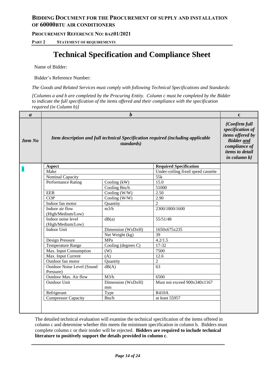## **PROCUREMENT REFERENCE NO: BAZ01/2021**

**PART 2 STATEMENT OF REQUIREMENTS**

# **Technical Specification and Compliance Sheet**

Name of Bidder:

Bidder's Reference Number:

*The Goods and Related Services must comply with following Technical Specifications and Standards:*

*[Columns a and b are completed by the Procuring Entity. Column c must be completed by the Bidder to indicate the full specification of the items offered and their compliance with the specification required (in Column b)]*

| $\boldsymbol{a}$ | $\boldsymbol{b}$                                                                               |                         |                                    | $\mathbf c$                                                                                                                              |
|------------------|------------------------------------------------------------------------------------------------|-------------------------|------------------------------------|------------------------------------------------------------------------------------------------------------------------------------------|
| <b>Item No</b>   | Item description and full technical Specification required (including applicable<br>standards) |                         |                                    | {Confirm full<br>specification of<br>items offered by<br><b>Bidder</b> and<br>compliance of<br><i>items to detail</i><br>in column $b$ } |
|                  | <b>Aspect</b>                                                                                  |                         | <b>Required Specification</b>      |                                                                                                                                          |
|                  | Make                                                                                           |                         | Under-ceiling fixed speed cassette |                                                                                                                                          |
|                  | <b>Nominal Capacity</b>                                                                        |                         | 55k                                |                                                                                                                                          |
|                  | Performance Rating                                                                             | Cooling (kW)            | 15.0                               |                                                                                                                                          |
|                  |                                                                                                | Cooling Btu/h           | 51000                              |                                                                                                                                          |
|                  | <b>EER</b>                                                                                     | Cooling (W/W)           | 2.50                               |                                                                                                                                          |
|                  | <b>COP</b>                                                                                     | Cooling (W/W)           | 2.90                               |                                                                                                                                          |
|                  | Indoor fan motor                                                                               | Quantity                | $\mathcal{D}_{\mathcal{L}}$        |                                                                                                                                          |
|                  | Indoor air flow<br>(High/Medium/Low)                                                           | m3/h                    | 2300/1800/1600                     |                                                                                                                                          |
|                  | Indoor noise level<br>(High/Medium/Low)                                                        | dB(a)                   | 55/51/48                           |                                                                                                                                          |
|                  | <b>Indoor Unit</b>                                                                             | Dimension (WxDxH)       | 1650x675x235                       |                                                                                                                                          |
|                  |                                                                                                | Net Weight (kg)         | 39                                 |                                                                                                                                          |
|                  | Design Pressure                                                                                | MPa                     | 4.2/1.5                            |                                                                                                                                          |
|                  | <b>Temperature Range</b>                                                                       | Cooling (degrees C)     | 17-32                              |                                                                                                                                          |
|                  | Max. Input Consumption                                                                         | (W)                     | 7500                               |                                                                                                                                          |
|                  | Max. Input Current                                                                             | (A)                     | 12.6                               |                                                                                                                                          |
|                  | Outdoor fan motor                                                                              | Quantity                | $\overline{2}$                     |                                                                                                                                          |
|                  | Outdoor Noise Level (Sound<br>Pressure)                                                        | dB(A)                   | 63                                 |                                                                                                                                          |
|                  | Outdoor Max. Air flow                                                                          | M3/h                    | 6500                               |                                                                                                                                          |
|                  | Outdoor Unit                                                                                   | Dimension (WxDxH)<br>mm | Must not exceed 900x340x1167       |                                                                                                                                          |
|                  | Refrigerant                                                                                    | Type                    | <b>R410A</b>                       |                                                                                                                                          |
|                  | <b>Compressor Capacity</b>                                                                     | Btu/h                   | at least 55957                     |                                                                                                                                          |
|                  |                                                                                                |                         |                                    |                                                                                                                                          |

The detailed technical evaluation will examine the technical specification of the items offered in column c and determine whether this meets the minimum specification in column b. Bidders must complete column c or their tender will be rejected. **Bidders are required to include technical literature to positively support the details provided in column c**.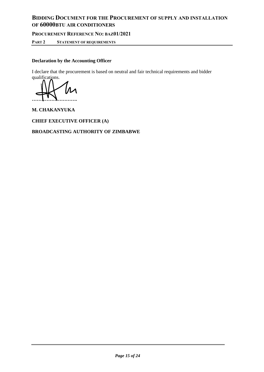**PROCUREMENT REFERENCE NO: BAZ01/2021**

**PART 2 STATEMENT OF REQUIREMENTS**

## **Declaration by the Accounting Officer**

I declare that the procurement is based on neutral and fair technical requirements and bidder

qualifications.  $\overline{\mathcal{L}}$ **……………………….**

**M. CHAKANYUKA**

**CHIEF EXECUTIVE OFFICER (A)**

## **BROADCASTING AUTHORITY OF ZIMBABWE**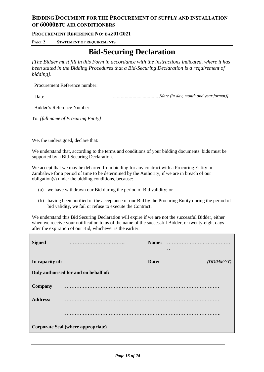## **PROCUREMENT REFERENCE NO: BAZ01/2021**

**PART 2 STATEMENT OF REQUIREMENTS**

# **Bid-Securing Declaration**

*{The Bidder must fill in this Form in accordance with the instructions indicated, where it has been stated in the Bidding Procedures that a Bid-Securing Declaration is a requirement of bidding}.*

Procurement Reference number:

Date: *…………………..………….[date (in day, month and year format)]*

Bidder's Reference Number:

To: *{full name of Procuring Entity}*

We, the undersigned, declare that:

We understand that, according to the terms and conditions of your bidding documents, bids must be supported by a Bid-Securing Declaration.

We accept that we may be debarred from bidding for any contract with a Procuring Entity in Zimbabwe for a period of time to be determined by the Authority*,* if we are in breach of our obligation(s) under the bidding conditions, because:

- (a) we have withdrawn our Bid during the period of Bid validity; or
- (b) having been notified of the acceptance of our Bid by the Procuring Entity during the period of bid validity, we fail or refuse to execute the Contract.

We understand this Bid Securing Declaration will expire if we are not the successful Bidder, either when we receive your notification to us of the name of the successful Bidder, or twenty-eight days after the expiration of our Bid, whichever is the earlier.

| <b>Signed</b>                             |                                       | Name: | $\cdots$                                                                    |
|-------------------------------------------|---------------------------------------|-------|-----------------------------------------------------------------------------|
| In capacity of:                           | . <b>.</b>                            | Date: | $\ldots \ldots \ldots \ldots \ldots \ldots \ldots \ldots \ldots (DD/MM/YY)$ |
|                                           | Duly authorised for and on behalf of: |       |                                                                             |
| Company                                   |                                       |       |                                                                             |
| <b>Address:</b>                           |                                       |       |                                                                             |
|                                           |                                       |       |                                                                             |
| <b>Corporate Seal (where appropriate)</b> |                                       |       |                                                                             |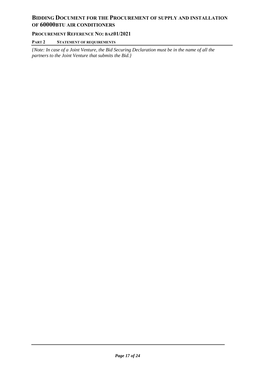## **PROCUREMENT REFERENCE NO: BAZ01/2021**

**PART 2 STATEMENT OF REQUIREMENTS**

*{Note: In case of a Joint Venture, the Bid Securing Declaration must be in the name of all the partners to the Joint Venture that submits the Bid.}*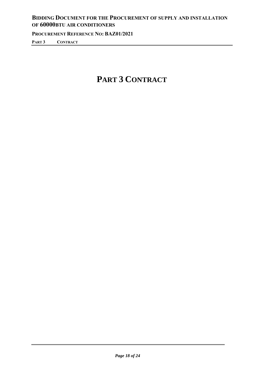**PROCUREMENT REFERENCE NO: BAZ01/2021**

**PART 3 CONTRACT**

# **PART 3 CONTRACT**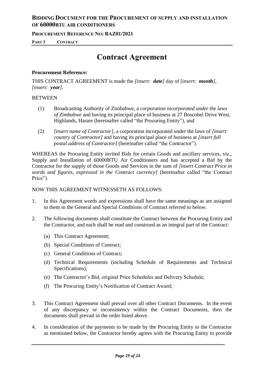**PROCUREMENT REFERENCE NO: BAZ01/2021**

**PART 3 CONTRACT**

# **Contract Agreement**

## **Procurement Reference:**

THIS CONTRACT AGREEMENT is made the *[insert: date]* day of [*insert: month]*, *[insert: year]*.

## **BETWEEN**

- (1) Broadcasting Authority of Zimbabwe, a *corporation incorporated under the laws of Zimbabwe* and having its principal place of business at 27 Boscobel Drive West, Highlands, Harare (hereinafter called "the Procuring Entity"), and
- (2) *[insert name of Contractor]*, a corporation incorporated under the laws of *[insert: country of Contractor]* and having its principal place of business at *[insert full postal address of Contractor]* (hereinafter called "the Contractor").

WHEREAS the Procuring Entity invited Bids for certain Goods and ancillary services, viz., Supply and Installation of 60000BTU Air Conditioners and has accepted a Bid by the Contractor for the supply of those Goods and Services in the sum of *[insert Contract Price in words and figures, expressed in the Contract currency]* (hereinafter called "the Contract Price").

## NOW THIS AGREEMENT WITNESSETH AS FOLLOWS:

- 1. In this Agreement words and expressions shall have the same meanings as are assigned to them in the General and Special Conditions of Contract referred to below.
- 2. The following documents shall constitute the Contract between the Procuring Entity and the Contractor, and each shall be read and construed as an integral part of the Contract:
	- (a) This Contract Agreement;
	- (b) Special Conditions of Contract;
	- (c) General Conditions of Contract;
	- (d) Technical Requirements (including Schedule of Requirements and Technical Specifications);
	- (e) The Contractor's Bid, original Price Schedules and Delivery Schedule;
	- (f) The Procuring Entity's Notification of Contract Award;
- 3. This Contract Agreement shall prevail over all other Contract Documents. In the event of any discrepancy or inconsistency within the Contract Documents, then the documents shall prevail in the order listed above.
- 4. In consideration of the payments to be made by the Procuring Entity to the Contractor as mentioned below, the Contractor hereby agrees with the Procuring Entity to provide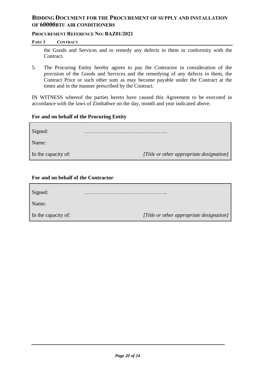## **PROCUREMENT REFERENCE NO: BAZ01/2021**

## **PART 3 CONTRACT**

the Goods and Services and to remedy any defects in them in conformity with the Contract.

5. The Procuring Entity hereby agrees to pay the Contractor in consideration of the provision of the Goods and Services and the remedying of any defects in them, the Contract Price or such other sum as may become payable under the Contract at the times and in the manner prescribed by the Contract.

IN WITNESS whereof the parties hereto have caused this Agreement to be executed in accordance with the laws of Zimbabwe on the day, month and year indicated above.

## **For and on behalf of the Procuring Entity**

Signed: ………………………………………..

Name:

In the capacity of: *[Title or other appropriate designation]*

## **For and on behalf of the Contractor**

Signed: ………………………………………..

Name:

In the capacity of: *capacity of*  $\blacksquare$  *[Title or other appropriate designation]*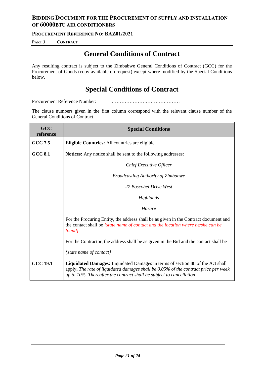## **PROCUREMENT REFERENCE NO: BAZ01/2021**

**PART 3 CONTRACT**

## **General Conditions of Contract**

Any resulting contract is subject to the Zimbabwe General Conditions of Contract (GCC) for the Procurement of Goods (copy available on request) except where modified by the Special Conditions below.

## **Special Conditions of Contract**

Procurement Reference Number: ……………………………………

The clause numbers given in the first column correspond with the relevant clause number of the General Conditions of Contract.

| <b>GCC</b><br>reference | <b>Special Conditions</b>                                                                                                                                                                                                                               |
|-------------------------|---------------------------------------------------------------------------------------------------------------------------------------------------------------------------------------------------------------------------------------------------------|
| GCC 7.5                 | Eligible Countries: All countries are eligible.                                                                                                                                                                                                         |
| <b>GCC 8.1</b>          | <b>Notices:</b> Any notice shall be sent to the following addresses:                                                                                                                                                                                    |
|                         | Chief Executive Officer                                                                                                                                                                                                                                 |
|                         | <b>Broadcasting Authority of Zimbabwe</b>                                                                                                                                                                                                               |
|                         | 27 Boscobel Drive West                                                                                                                                                                                                                                  |
|                         | Highlands                                                                                                                                                                                                                                               |
|                         | Harare                                                                                                                                                                                                                                                  |
|                         | For the Procuring Entity, the address shall be as given in the Contract document and<br>the contact shall be <i>[state name of contact and the location where he/she can be</i><br>found].                                                              |
|                         | For the Contractor, the address shall be as given in the Bid and the contact shall be                                                                                                                                                                   |
|                         | {state name of contact}                                                                                                                                                                                                                                 |
| <b>GCC 19.1</b>         | <b>Liquidated Damages:</b> Liquidated Damages in terms of section 88 of the Act shall<br>apply. The rate of liquidated damages shall be 0.05% of the contract price per week<br>up to $10\%$ . Thereafter the contract shall be subject to cancellation |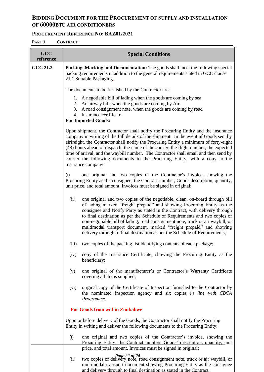## **PROCUREMENT REFERENCE NO: BAZ01/2021**

**PART 3 CONTRACT**

| GCC             | <b>Special Conditions</b>                                                                                                                                                                                                                                                                                                                                                                                                                                                                                                                                         |
|-----------------|-------------------------------------------------------------------------------------------------------------------------------------------------------------------------------------------------------------------------------------------------------------------------------------------------------------------------------------------------------------------------------------------------------------------------------------------------------------------------------------------------------------------------------------------------------------------|
| reference       |                                                                                                                                                                                                                                                                                                                                                                                                                                                                                                                                                                   |
| <b>GCC 21.2</b> | Packing, Marking and Documentation: The goods shall meet the following special<br>packing requirements in addition to the general requirements stated in GCC clause<br>21.1 Suitable Packaging.                                                                                                                                                                                                                                                                                                                                                                   |
|                 | The documents to be furnished by the Contractor are:                                                                                                                                                                                                                                                                                                                                                                                                                                                                                                              |
|                 | 1. A negotiable bill of lading when the goods are coming by sea<br>2. An airway bill, when the goods are coming by Air<br>3. A road consignment note, when the goods are coming by road<br>4. Insurance certificate,<br><b>For Imported Goods:</b>                                                                                                                                                                                                                                                                                                                |
|                 | Upon shipment, the Contractor shall notify the Procuring Entity and the insurance<br>company in writing of the full details of the shipment. In the event of Goods sent by<br>airfreight, the Contractor shall notify the Procuring Entity a minimum of forty-eight<br>(48) hours ahead of dispatch, the name of the carrier, the flight number, the expected<br>time of arrival, and the waybill number. The Contractor shall email and then send by<br>courier the following documents to the Procuring Entity, with a copy to the<br>insurance company:        |
|                 | (i)<br>one original and two copies of the Contractor's invoice, showing the<br>Procuring Entity as the consignee; the Contract number, Goods description, quantity,<br>unit price, and total amount. Invoices must be signed in original;                                                                                                                                                                                                                                                                                                                         |
|                 | (ii)<br>one original and two copies of the negotiable, clean, on-board through bill<br>of lading marked "freight prepaid" and showing Procuring Entity as the<br>consignee and Notify Party as stated in the Contract, with delivery through<br>to final destination as per the Schedule of Requirements and two copies of<br>non-negotiable bill of lading, road consignment note, truck or air waybill, or<br>multimodal transport document, marked "freight prepaid" and showing<br>delivery through to final destination as per the Schedule of Requirements; |
|                 | two copies of the packing list identifying contents of each package;<br>(iii)                                                                                                                                                                                                                                                                                                                                                                                                                                                                                     |
|                 | copy of the Insurance Certificate, showing the Procuring Entity as the<br>(iv)<br>beneficiary;                                                                                                                                                                                                                                                                                                                                                                                                                                                                    |
|                 | one original of the manufacturer's or Contractor's Warranty Certificate<br>(v)<br>covering all items supplied;                                                                                                                                                                                                                                                                                                                                                                                                                                                    |
|                 | original copy of the Certificate of Inspection furnished to the Contractor by<br>(vi)<br>the nominated inspection agency and six copies in line with CBCA<br>Programme.                                                                                                                                                                                                                                                                                                                                                                                           |
|                 | <b>For Goods from within Zimbabwe</b>                                                                                                                                                                                                                                                                                                                                                                                                                                                                                                                             |
|                 | Upon or before delivery of the Goods, the Contractor shall notify the Procuring<br>Entity in writing and deliver the following documents to the Procuring Entity:                                                                                                                                                                                                                                                                                                                                                                                                 |
|                 | (i)<br>one original and two copies of the Contractor's invoice, showing the<br>Procuring Entity, the Contract number, Goods' description, quantity, unit<br>price, and total amount. Invoices must be signed in original;                                                                                                                                                                                                                                                                                                                                         |
|                 | <i>Page 22 of 24</i><br>two copies of delivery note, road consignment note, truck or air waybill, or<br>(ii)<br>multimodal transport document showing Procuring Entity as the consignee                                                                                                                                                                                                                                                                                                                                                                           |

and delivery through to final destination as stated in the Contract;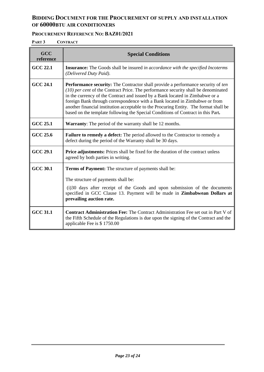## **PROCUREMENT REFERENCE NO: BAZ01/2021**

**PART 3 CONTRACT**

| GCC<br>reference | <b>Special Conditions</b>                                                                                                                                                                                                                                                                                                                                                                                                                                                                                             |
|------------------|-----------------------------------------------------------------------------------------------------------------------------------------------------------------------------------------------------------------------------------------------------------------------------------------------------------------------------------------------------------------------------------------------------------------------------------------------------------------------------------------------------------------------|
| <b>GCC 22.1</b>  | <b>Insurance:</b> The Goods shall be insured in accordance with the specified Incoterms<br>(Delivered Duty Paid).                                                                                                                                                                                                                                                                                                                                                                                                     |
| <b>GCC 24.1</b>  | Performance security: The Contractor shall provide a performance security of ten<br>$(10)$ per cent of the Contract Price. The performance security shall be denominated<br>in the currency of the Contract and issued by a Bank located in Zimbabwe or a<br>foreign Bank through correspondence with a Bank located in Zimbabwe or from<br>another financial institution acceptable to the Procuring Entity. The format shall be<br>based on the template following the Special Conditions of Contract in this Part. |
| <b>GCC 25.1</b>  | <b>Warranty:</b> The period of the warranty shall be 12 months.                                                                                                                                                                                                                                                                                                                                                                                                                                                       |
| GCC 25.6         | Failure to remedy a defect: The period allowed to the Contractor to remedy a<br>defect during the period of the Warranty shall be 30 days.                                                                                                                                                                                                                                                                                                                                                                            |
| <b>GCC 29.1</b>  | <b>Price adjustments:</b> Prices shall be fixed for the duration of the contract unless<br>agreed by both parties in writing.                                                                                                                                                                                                                                                                                                                                                                                         |
| <b>GCC 30.1</b>  | <b>Terms of Payment:</b> The structure of payments shall be:                                                                                                                                                                                                                                                                                                                                                                                                                                                          |
|                  | The structure of payments shall be:                                                                                                                                                                                                                                                                                                                                                                                                                                                                                   |
|                  | (i)30 days after receipt of the Goods and upon submission of the documents<br>specified in GCC Clause 13. Payment will be made in Zimbabwean Dollars at<br>prevailing auction rate.                                                                                                                                                                                                                                                                                                                                   |
| <b>GCC 31.1</b>  | <b>Contract Administration Fee: The Contract Administration Fee set out in Part V of</b><br>the Fifth Schedule of the Regulations is due upon the signing of the Contract and the<br>applicable Fee is \$1750.00                                                                                                                                                                                                                                                                                                      |